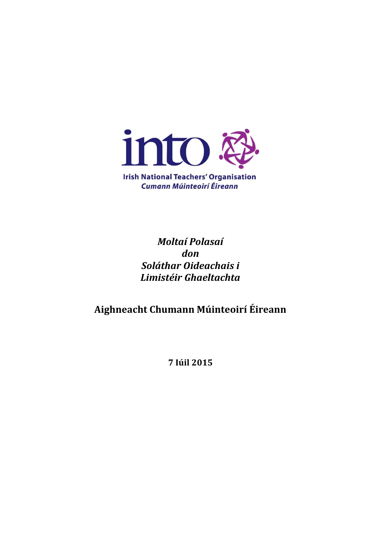

**Irish National Teachers' Organisation Cumann Múinteoirí Éireann** 

> *Moltaí Polasaí don Soláthar Oideachais i Limistéir Ghaeltachta*

**Aighneacht Chumann Múinteoirí Éireann**

**7 Iúil 2015**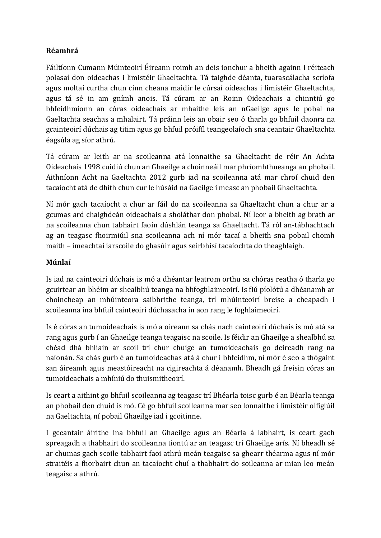## **Réamhrá**

Fáiltíonn Cumann Múinteoirí Éireann roimh an deis ionchur a bheith againn i réiteach polasaí don oideachas i limistéir Ghaeltachta. Tá taighde déanta, tuarascálacha scríofa agus moltaí curtha chun cinn cheana maidir le cúrsaí oideachas i limistéir Ghaeltachta, agus tá sé in am gnímh anois. Tá cúram ar an Roinn Oideachais a chinntiú go bhfeidhmíonn an córas oideachais ar mhaithe leis an nGaeilge agus le pobal na Gaeltachta seachas a mhalairt. Tá práinn leis an obair seo ó tharla go bhfuil daonra na gcainteoirí dúchais ag titim agus go bhfuil próifíl teangeolaíoch sna ceantair Ghaeltachta éagsúla ag síor athrú.

Tá cúram ar leith ar na scoileanna atá lonnaithe sa Ghaeltacht de réir An Achta Oideachais 1998 cuidiú chun an Ghaeilge a choinneáil mar phríomhthneanga an phobail. Aithníonn Acht na Gaeltachta 2012 gurb iad na scoileanna atá mar chroí chuid den tacaíocht atá de dhíth chun cur le húsáid na Gaeilge i measc an phobail Ghaeltachta.

Ní mór gach tacaíocht a chur ar fáil do na scoileanna sa Ghaeltacht chun a chur ar a gcumas ard chaighdeán oideachais a sholáthar don phobal. Ní leor a bheith ag brath ar na scoileanna chun tabhairt faoin dúshlán teanga sa Ghaeltacht. Tá ról an-tábhachtach ag an teagasc fhoirmiúil sna scoileanna ach ní mór tacaí a bheith sna pobail chomh maith – imeachtaí iarscoile do ghasúir agus seirbhísí tacaíochta do theaghlaigh.

## **Múnlaí**

Is iad na cainteoirí dúchais is mó a dhéantar leatrom orthu sa chóras reatha ó tharla go gcuirtear an bhéim ar shealbhú teanga na bhfoghlaimeoirí. Is fiú píolótú a dhéanamh ar choincheap an mhúinteora saibhrithe teanga, trí mhúinteoirí breise a cheapadh i scoileanna ina bhfuil cainteoirí dúchasacha in aon rang le foghlaimeoirí.

Is é córas an tumoideachais is mó a oireann sa chás nach cainteoirí dúchais is mó atá sa rang agus gurb í an Ghaeilge teanga teagaisc na scoile. Is féidir an Ghaeilge a shealbhú sa chéad dhá bhliain ar scoil trí chur chuige an tumoideachais go deireadh rang na naíonán. Sa chás gurb é an tumoideachas atá á chur i bhfeidhm, ní mór é seo a thógaint san áireamh agus meastóireacht na cigireachta á déanamh. Bheadh gá freisin córas an tumoideachais a mhíniú do thuismitheoirí.

Is ceart a aithint go bhfuil scoileanna ag teagasc trí Bhéarla toisc gurb é an Béarla teanga an phobail den chuid is mó. Cé go bhfuil scoileanna mar seo lonnaithe i limistéir oifigiúil na Gaeltachta, ní pobail Ghaeilge iad i gcoitinne.

I gceantair áirithe ina bhfuil an Ghaeilge agus an Béarla á labhairt, is ceart gach spreagadh a thabhairt do scoileanna tiontú ar an teagasc trí Ghaeilge arís. Ní bheadh sé ar chumas gach scoile tabhairt faoi athrú meán teagaisc sa ghearr théarma agus ní mór straitéis a fhorbairt chun an tacaíocht chuí a thabhairt do soileanna ar mian leo meán teagaisc a athrú.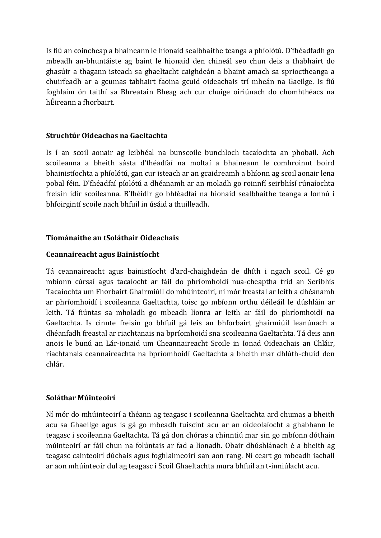Is fiú an coincheap a bhaineann le hionaid sealbhaithe teanga a phíolótú. D'fhéadfadh go mbeadh an-bhuntáiste ag baint le hionaid den chineál seo chun deis a thabhairt do ghasúir a thagann isteach sa ghaeltacht caighdeán a bhaint amach sa sprioctheanga a chuirfeadh ar a gcumas tabhairt faoina gcuid oideachais trí mheán na Gaeilge. Is fiú foghlaim ón taithí sa Bhreatain Bheag ach cur chuige oiriúnach do chomhthéacs na hÉireann a fhorbairt.

## **Struchtúr Oideachas na Gaeltachta**

Is í an scoil aonair ag leibhéal na bunscoile bunchloch tacaíochta an phobail. Ach scoileanna a bheith sásta d'fhéadfaí na moltaí a bhaineann le comhroinnt boird bhainistíochta a phíolótú, gan cur isteach ar an gcaidreamh a bhíonn ag scoil aonair lena pobal féin. D'fhéadfaí píolótú a dhéanamh ar an moladh go roinnfí seirbhísí rúnaíochta freisin idir scoileanna. B'fhéidir go bhféadfaí na hionaid sealbhaithe teanga a lonnú i bhfoirgintí scoile nach bhfuil in úsáid a thuilleadh.

### **Tiománaithe an tSoláthair Oideachais**

#### **Ceannaireacht agus Bainistíocht**

Tá ceannaireacht agus bainistíocht d'ard-chaighdeán de dhíth i ngach scoil. Cé go mbíonn cúrsaí agus tacaíocht ar fáil do phríomhoidí nua-cheaptha tríd an Seribhís Tacaíochta um Fhorbairt Ghairmiúil do mhúinteoirí, ní mór freastal ar leith a dhéanamh ar phríomhoidí i scoileanna Gaeltachta, toisc go mbíonn orthu déileáil le dúshláin ar leith. Tá fiúntas sa mholadh go mbeadh líonra ar leith ar fáil do phríomhoidí na Gaeltachta. Is cinnte freisin go bhfuil gá leis an bhforbairt ghairmiúil leanúnach a dhéanfadh freastal ar riachtanais na bpríomhoidí sna scoileanna Gaeltachta. Tá deis ann anois le bunú an Lár-ionaid um Cheannaireacht Scoile in Ionad Oideachais an Chláir, riachtanais ceannaireachta na bpríomhoidí Gaeltachta a bheith mar dhlúth-chuid den chlár.

#### **Soláthar Múinteoirí**

Ní mór do mhúinteoirí a théann ag teagasc i scoileanna Gaeltachta ard chumas a bheith acu sa Ghaeilge agus is gá go mbeadh tuiscint acu ar an oideolaíocht a ghabhann le teagasc i scoileanna Gaeltachta. Tá gá don chóras a chinntiú mar sin go mbíonn dóthain múinteoirí ar fáil chun na folúntais ar fad a líonadh. Obair dhúshlánach é a bheith ag teagasc cainteoirí dúchais agus foghlaimeoirí san aon rang. Ní ceart go mbeadh iachall ar aon mhúinteoir dul ag teagasc i Scoil Ghaeltachta mura bhfuil an t-inniúlacht acu.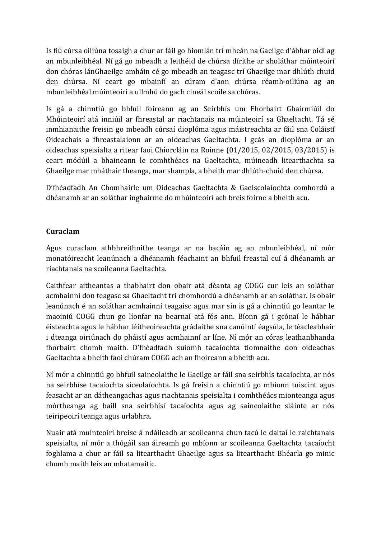Is fiú cúrsa oiliúna tosaigh a chur ar fáil go hiomlán trí mheán na Gaeilge d'ábhar oidí ag an mbunleibhéal. Ní gá go mbeadh a leithéid de chúrsa dírithe ar sholáthar múinteoirí don chóras lánGhaeilge amháin cé go mbeadh an teagasc trí Ghaeilge mar dhlúth chuid den chúrsa. Ní ceart go mbainfí an cúram d'aon chúrsa réamh-oiliúna ag an mbunleibhéal múinteoirí a ullmhú do gach cineál scoile sa chóras.

Is gá a chinntiú go bhfuil foireann ag an Seirbhís um Fhorbairt Ghairmiúil do Mhúinteoirí atá inniúil ar fhreastal ar riachtanais na múinteoirí sa Ghaeltacht. Tá sé inmhianaithe freisin go mbeadh cúrsaí dioplóma agus máistreachta ar fáil sna Coláistí Oideachais a fhreastalaíonn ar an oideachas Gaeltachta. I gcás an dioplóma ar an oideachas speisialta a ritear faoi Chiorcláin na Roinne (01/2015, 02/2015, 03/2015) is ceart módúil a bhaineann le comhthéacs na Gaeltachta, múineadh litearthachta sa Ghaeilge mar mháthair theanga, mar shampla, a bheith mar dhlúth-chuid den chúrsa.

D'fhéadfadh An Chomhairle um Oideachas Gaeltachta & Gaelscolaíochta comhordú a dhéanamh ar an soláthar inghairme do mhúinteoirí ach breis foirne a bheith acu.

## **Curaclam**

Agus curaclam athbhreithnithe teanga ar na bacáin ag an mbunleibhéal, ní mór monatóireacht leanúnach a dhéanamh féachaint an bhfuil freastal cuí á dhéanamh ar riachtanais na scoileanna Gaeltachta.

Caithfear aitheantas a thabhairt don obair atá déanta ag COGG cur leis an soláthar acmhainní don teagasc sa Ghaeltacht trí chomhordú a dhéanamh ar an soláthar. Is obair leanúnach é an soláthar acmhainní teagaisc agus mar sin is gá a chinntiú go leantar le maoiniú COGG chun go líonfar na bearnaí atá fós ann. Bíonn gá i gcónaí le hábhar éisteachta agus le hábhar léitheoireachta grádaithe sna canúintí éagsúla, le téacleabhair i dteanga oiriúnach do pháistí agus acmhainní ar líne. Ní mór an córas leathanbhanda fhorbairt chomh maith. D'fhéadfadh suíomh tacaíochta tiomnaithe don oideachas Gaeltachta a bheith faoi chúram COGG ach an fhoireann a bheith acu.

Ní mór a chinntiú go bhfuil saineolaithe le Gaeilge ar fáil sna seirbhís tacaíochta, ar nós na seirbhíse tacaíochta síceolaíochta. Is gá freisin a chinntiú go mbíonn tuiscint agus feasacht ar an dátheangachas agus riachtanais speisialta i comhthéács mionteanga agus mórtheanga ag baill sna seirbhísí tacaíochta agus ag saineolaithe sláinte ar nós teiripeoirí teanga agus urlabhra.

Nuair atá muinteoirí breise á ndáileadh ar scoileanna chun tacú le daltaí le raichtanais speisialta, ní mór a thógáil san áireamh go mbíonn ar scoileanna Gaeltachta tacaíocht foghlama a chur ar fáil sa litearthacht Ghaeilge agus sa litearthacht Bhéarla go minic chomh maith leis an mhatamaitic.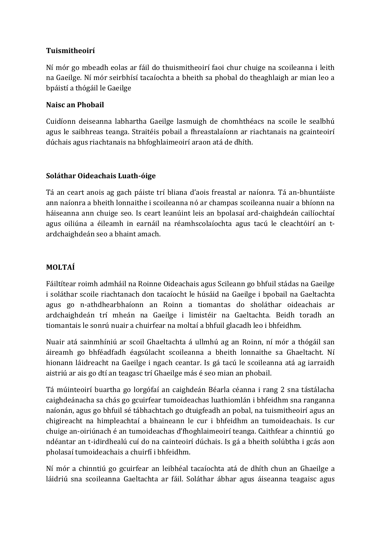## **Tuismitheoirí**

Ní mór go mbeadh eolas ar fáil do thuismitheoirí faoi chur chuige na scoileanna i leith na Gaeilge. Ní mór seirbhísí tacaíochta a bheith sa phobal do theaghlaigh ar mian leo a bpáistí a thógáil le Gaeilge

## **Naisc an Phobail**

Cuidíonn deiseanna labhartha Gaeilge lasmuigh de chomhthéacs na scoile le sealbhú agus le saibhreas teanga. Straitéis pobail a fhreastalaíonn ar riachtanais na gcainteoirí dúchais agus riachtanais na bhfoghlaimeoirí araon atá de dhíth.

## **Soláthar Oideachais Luath-óige**

Tá an ceart anois ag gach páiste trí bliana d'aois freastal ar naíonra. Tá an-bhuntáiste ann naíonra a bheith lonnaithe i scoileanna nó ar champas scoileanna nuair a bhíonn na háiseanna ann chuige seo. Is ceart leanúint leis an bpolasaí ard-chaighdeán cailíochtaí agus oiliúna a éileamh in earnáil na réamhscolaíochta agus tacú le cleachtóirí an tardchaighdeán seo a bhaint amach.

## **MOLTAÍ**

Fáiltítear roimh admháil na Roinne Oideachais agus Scileann go bhfuil stádas na Gaeilge i soláthar scoile riachtanach don tacaíocht le húsáid na Gaeilge i bpobail na Gaeltachta agus go n-athdhearbhaíonn an Roinn a tiomantas do sholáthar oideachais ar ardchaighdeán trí mheán na Gaeilge i limistéir na Gaeltachta. Beidh toradh an tiomantais le sonrú nuair a chuirfear na moltaí a bhfuil glacadh leo i bhfeidhm.

Nuair atá sainmhíniú ar scoil Ghaeltachta á ullmhú ag an Roinn, ní mór a thógáil san áireamh go bhféadfadh éagsúlacht scoileanna a bheith lonnaithe sa Ghaeltacht. Ní hionann láidreacht na Gaeilge i ngach ceantar. Is gá tacú le scoileanna atá ag iarraidh aistriú ar ais go dtí an teagasc trí Ghaeilge más é seo mian an phobail.

Tá múinteoirí buartha go lorgófaí an caighdeán Béarla céanna i rang 2 sna tástálacha caighdeánacha sa chás go gcuirfear tumoideachas luathiomlán i bhfeidhm sna ranganna naíonán, agus go bhfuil sé tábhachtach go dtuigfeadh an pobal, na tuismitheoirí agus an chigireacht na himpleachtaí a bhaineann le cur i bhfeidhm an tumoideachais. Is cur chuige an-oiriúnach é an tumoideachas d'fhoghlaimeoirí teanga. Caithfear a chinntiú go ndéantar an t-idirdhealú cuí do na cainteoirí dúchais. Is gá a bheith solúbtha i gcás aon pholasaí tumoideachais a chuirfí i bhfeidhm.

Ní mór a chinntiú go gcuirfear an leibhéal tacaíochta atá de dhíth chun an Ghaeilge a láidriú sna scoileanna Gaeltachta ar fáil. Soláthar ábhar agus áiseanna teagaisc agus